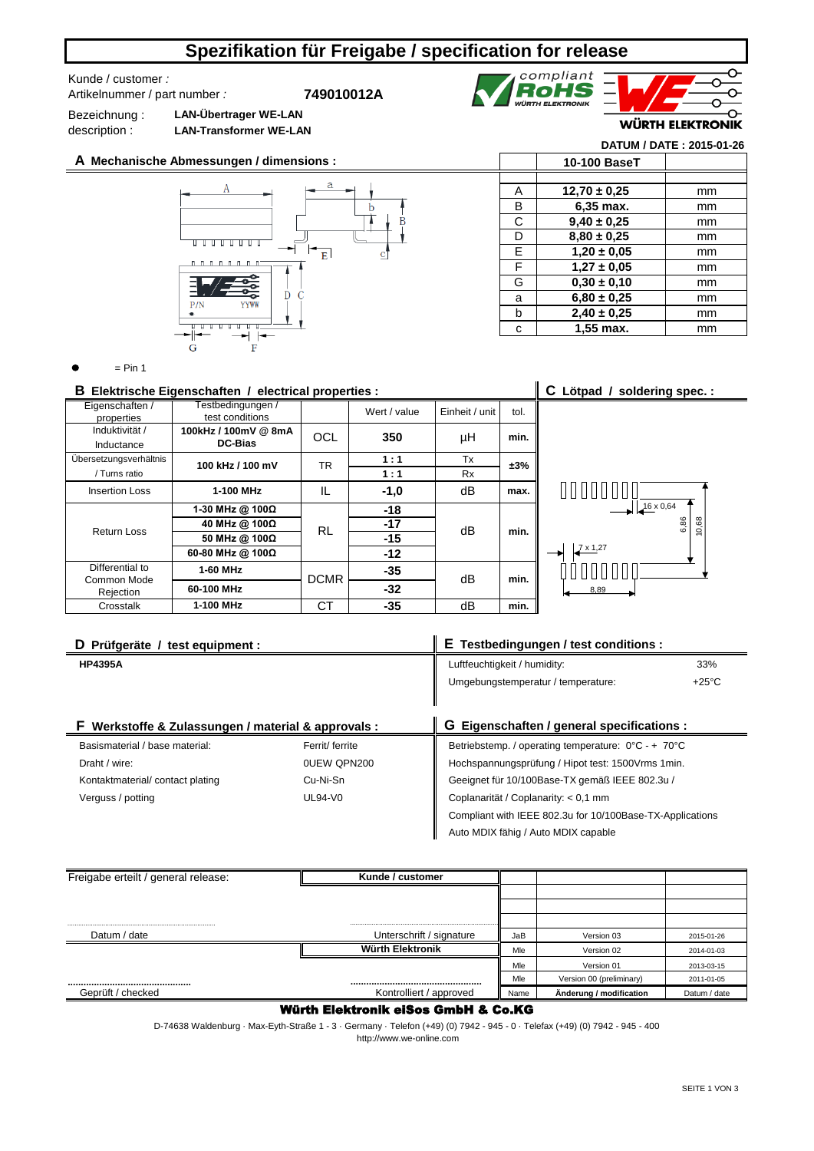# **Spezifikation für Freigabe / specification for release**

### Kunde / customer *:*  Artikelnummer / part number *:*

**749010012A**

Bezeichnung : description : **LAN-Übertrager WE-LAN LAN-Transformer WE-LAN**

**A Mechanische Abmessungen / dimensions :**



|   |                  | WUKIH ELEKIKUNIK         |
|---|------------------|--------------------------|
|   |                  | DATUM / DATE: 2015-01-26 |
|   | 10-100 BaseT     |                          |
|   |                  |                          |
| А | $12,70 \pm 0,25$ | mm                       |
| в | 6,35 max.        | mm                       |
| C | $9,40 \pm 0,25$  | mm                       |
| D | $8.80 \pm 0.25$  | mm                       |
| F | $1,20 \pm 0.05$  | mm                       |

compliant<br>**ROHS** 

**F** | **1,27 ± 0,05** | mm G **0,30 ± 0,10** 1 mm a **6,80 ± 0,25** mm b mm **2,40 ± 0,25** c **1,55 max. 1 mm** 

 $=$  Pin 1

### **B** Elektrische Eigenschaften / electrical properties : <br>**C** Lötpad / soldering spec. :

| Eigenschaften /<br>properties  | Testbedingungen /<br>test conditions |             | Wert / value | Einheit / unit | tol. |
|--------------------------------|--------------------------------------|-------------|--------------|----------------|------|
| Induktivität /<br>Inductance   | 100kHz / 100mV @ 8mA<br>DC-Bias      | <b>OCL</b>  | 350          | μH             | min. |
| Übersetzungsverhältnis         | 100 kHz / 100 mV                     | TR          | 1:1          | Tx             | ±3%  |
| / Turns ratio                  |                                      |             | 1:1          | <b>Rx</b>      |      |
| <b>Insertion Loss</b>          | 1-100 MHz                            | IL          | $-1,0$       | dВ             | max. |
|                                | 1-30 MHz @ 100Ω                      |             | $-18$        |                | min. |
| Return Loss                    | 40 MHz @ 100Ω                        | <b>RL</b>   | $-17$        | dВ             |      |
|                                | 50 MHz @ 100Ω                        |             | $-15$        |                |      |
|                                | 60-80 MHz @ 100Ω                     |             | $-12$        |                |      |
| Differential to<br>Common Mode | 1-60 MHz                             | <b>DCMR</b> | $-35$        | dВ             | min. |
| Rejection                      | 60-100 MHz                           |             | $-32$        |                |      |
| Crosstalk                      | 1-100 MHz                            | СT          | $-35$        | dB             | min. |



| D Prüfgeräte / test equipment :                     |          | E Testbedingungen / test conditions :                                    |  |  |
|-----------------------------------------------------|----------|--------------------------------------------------------------------------|--|--|
| <b>HP4395A</b>                                      |          | 33%<br>Luftfeuchtigkeit / humidity:                                      |  |  |
|                                                     |          | $+25^{\circ}$ C<br>Umgebungstemperatur / temperature:                    |  |  |
|                                                     |          |                                                                          |  |  |
| F Werkstoffe & Zulassungen / material & approvals : |          | G Eigenschaften / general specifications :                               |  |  |
| Basismaterial / base material:<br>Ferrit/ ferrite   |          | Betriebstemp. / operating temperature: $0^{\circ}$ C - + 70 $^{\circ}$ C |  |  |
| 0UEW QPN200<br>Draht / wire:                        |          | Hochspannungsprüfung / Hipot test: 1500Vrms 1min.                        |  |  |
| Kontaktmaterial/contact plating                     | Cu-Ni-Sn | Geeignet für 10/100Base-TX gemäß IEEE 802.3u /                           |  |  |
| $UL94-V0$<br>Verguss / potting                      |          | Coplanarität / Coplanarity: < 0.1 mm                                     |  |  |
|                                                     |          | Compliant with IEEE 802.3u for 10/100Base-TX-Applications                |  |  |
|                                                     |          | Auto MDIX fähig / Auto MDIX capable                                      |  |  |

| Freigabe erteilt / general release: | Kunde / customer         |      |                          |              |
|-------------------------------------|--------------------------|------|--------------------------|--------------|
|                                     |                          |      |                          |              |
|                                     |                          |      |                          |              |
|                                     |                          |      |                          |              |
| Datum / date                        | Unterschrift / signature | JaB  | Version 03               | 2015-01-26   |
|                                     | Würth Elektronik         | Mle  | Version 02               | 2014-01-03   |
|                                     |                          | Mle  | Version 01               | 2013-03-15   |
|                                     |                          | Mle  | Version 00 (preliminary) | 2011-01-05   |
| Geprüft / checked                   | Kontrolliert / approved  | Name | Änderung / modification  | Datum / date |

#### Würth Elektronik eiSos GmbH & Co.KG

D-74638 Waldenburg · Max-Eyth-Straße 1 - 3 · Germany · Telefon (+49) (0) 7942 - 945 - 0 · Telefax (+49) (0) 7942 - 945 - 400 http://www.we-online.com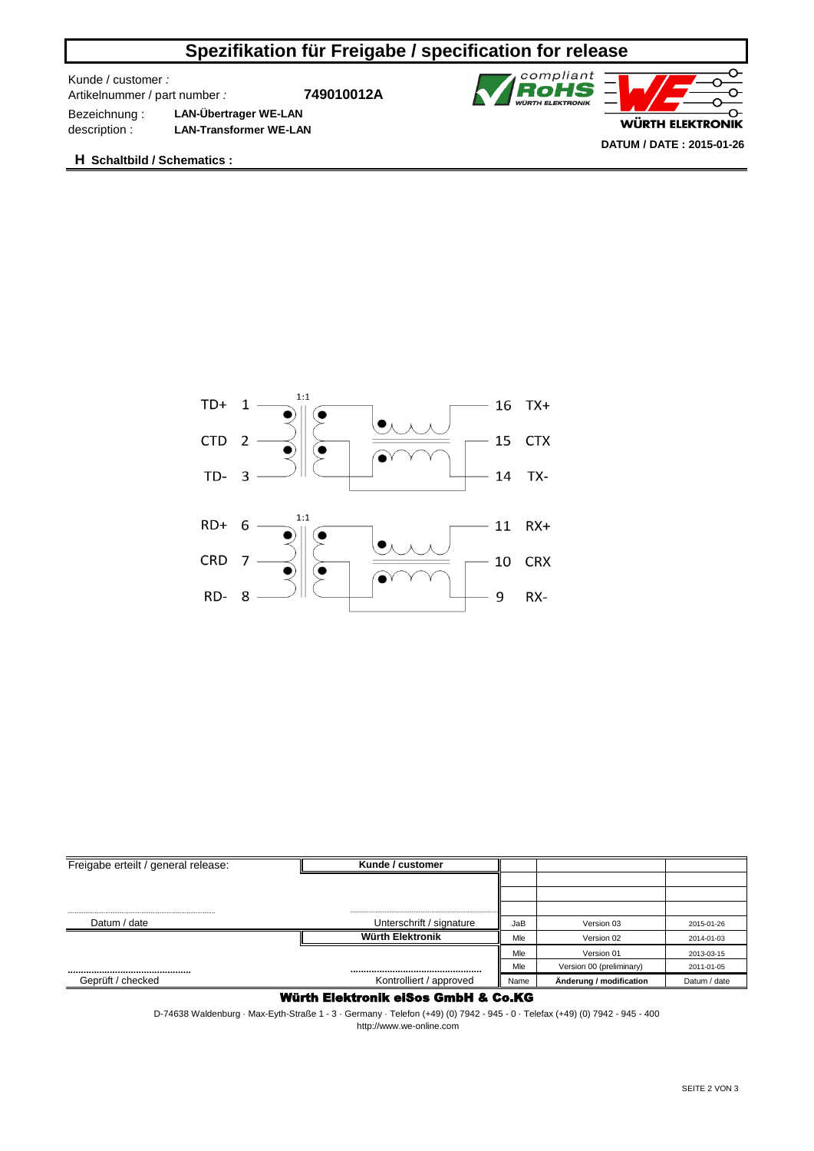# **Spezifikation für Freigabe / specification for release**

Kunde / customer *:* 

Artikelnummer / part number *:*

**749010012A**



Bezeichnung : **LAN-Übertrager WE-LAN** description : **LAN-Transformer WE-LAN**

**H Schaltbild / Schematics :**



| Freigabe erteilt / general release: | Kunde / customer         |      |                          |              |
|-------------------------------------|--------------------------|------|--------------------------|--------------|
|                                     |                          |      |                          |              |
|                                     |                          |      |                          |              |
|                                     |                          |      |                          |              |
| Datum / date                        | Unterschrift / signature | JaB  | Version 03               | 2015-01-26   |
|                                     | <b>Würth Elektronik</b>  | Mle  | Version 02               | 2014-01-03   |
|                                     |                          | Mle  | Version 01               | 2013-03-15   |
|                                     |                          | Mle  | Version 00 (preliminary) | 2011-01-05   |
| Geprüft / checked                   | Kontrolliert / approved  | Name | Änderung / modification  | Datum / date |

### Würth Elektronik eiSos GmbH & Co.KG

D-74638 Waldenburg · Max-Eyth-Straße 1 - 3 · Germany · Telefon (+49) (0) 7942 - 945 - 0 · Telefax (+49) (0) 7942 - 945 - 400 http://www.we-online.com